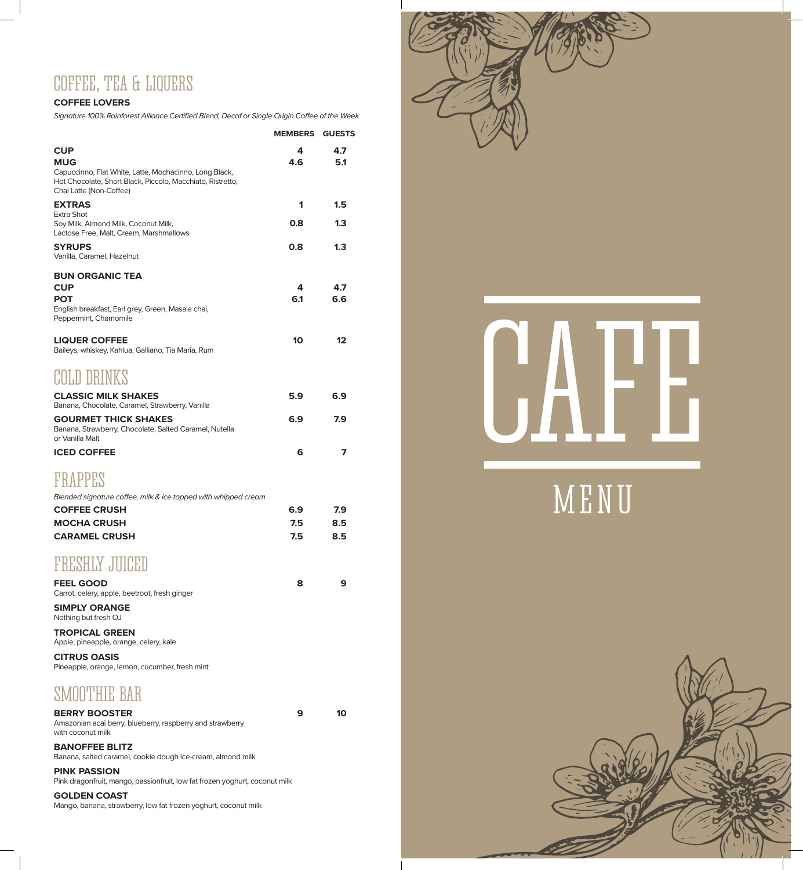## COFFEE, TEA & LIQUERS

#### **COFFEE LOVERS**

*Signature 100% Rainforest Alliance Certified Blend, Decaf or Single Origin Coffee of the Week*

|                                                                                                                                                 | <b>MEMBERS GUESTS</b> |     |
|-------------------------------------------------------------------------------------------------------------------------------------------------|-----------------------|-----|
| <b>CUP</b>                                                                                                                                      | 4                     | 4.7 |
| <b>MUG</b>                                                                                                                                      | 4.6                   | 5.1 |
| Capuccinno, Flat White, Latte, Mochacinno, Long Black,<br>Hot Chocolate, Short Black, Piccolo, Macchiato, Ristretto,<br>Chai Latte (Non-Coffee) |                       |     |
| <b>EXTRAS</b>                                                                                                                                   | 1                     | 1.5 |
| Extra Shot<br>Soy Milk, Almond Milk, Coconut Milk,                                                                                              | 0.8                   | 1.3 |
| Lactose Free, Malt, Cream, Marshmallows                                                                                                         |                       |     |
| <b>SYRUPS</b>                                                                                                                                   | 0.8                   | 1.3 |
| Vanilla, Caramel, Hazelnut                                                                                                                      |                       |     |
| <b>BUN ORGANIC TEA</b>                                                                                                                          |                       |     |
| <b>CUP</b>                                                                                                                                      | 4                     | 4.7 |
| POT<br>English breakfast, Earl grey, Green, Masala chai,                                                                                        | 6.1                   | 6.6 |
| Peppermint, Chamomile                                                                                                                           |                       |     |
|                                                                                                                                                 |                       |     |
| <b>LIQUER COFFEE</b><br>Baileys, whiskey, Kahlua, Galliano, Tia Maria, Rum                                                                      | 10                    | 12  |
|                                                                                                                                                 |                       |     |
| COLD DRINKS                                                                                                                                     |                       |     |
| <b>CLASSIC MILK SHAKES</b>                                                                                                                      | 5.9                   | 6.9 |
| Banana, Chocolate, Caramel, Strawberry, Vanilla<br><b>GOURMET THICK SHAKES</b>                                                                  | 6.9                   | 7.9 |
| Banana, Strawberry, Chocolate, Salted Caramel, Nutella                                                                                          |                       |     |
| or Vanilla Malt                                                                                                                                 |                       |     |
| <b>ICED COFFEE</b>                                                                                                                              | 6                     | 7   |
|                                                                                                                                                 |                       |     |
| <b>FRAPPES</b>                                                                                                                                  |                       |     |
| Blended signature coffee, milk & ice topped with whipped cream                                                                                  |                       |     |
| <b>COFFEE CRUSH</b>                                                                                                                             | 6.9                   | 7.9 |
| <b>MOCHA CRUSH</b>                                                                                                                              | 7.5                   | 8.5 |
| <b>CARAMEL CRUSH</b>                                                                                                                            | 7.5                   | 8.5 |

#### FRESHLY JUICED

**FEEL GOOD 8 9** Carrot, celery, apple, beetroot, fresh ginger **SIMPLY ORANGE** Nothing but fresh OJ **TROPICAL GREEN**

Apple, pineapple, orange, celery, kale **CITRUS OASIS**

Pineapple, orange, lemon, cucumber, fresh mint

## SMOOTHIE BAR

**BERRY BOOSTER 9 10** Amazonian acai berry, blueberry, raspberry and strawberry with coconut milk

**BANOFFEE BLITZ** Banana, salted caramel, cookie dough ice-cream, almond milk

**PINK PASSION** Pink dragonfruit, mango, passionfruit, low fat frozen yoghurt, coconut milk

**GOLDEN COAST**

Mango, banana, strawberry, low fat frozen yoghurt, coconut milk